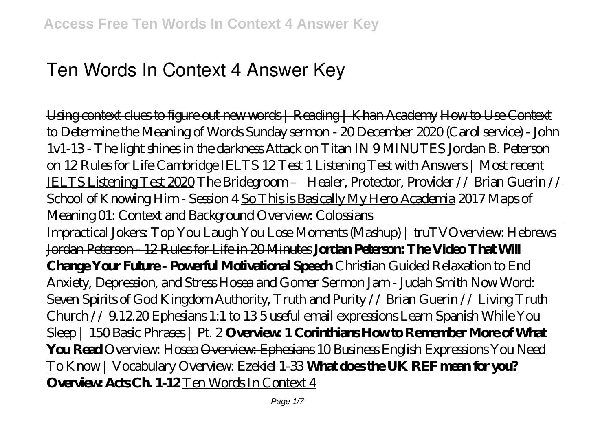# **Ten Words In Context 4 Answer Key**

Using context clues to figure out new words | Reading | Khan Academy How to Use Context to Determine the Meaning of Words Sunday sermon - 20 December 2020 (Carol service) - John 1v1-13 - The light shines in the darkness Attack on Titan IN 9 MINUTES *Jordan B. Peterson on 12 Rules for Life* Cambridge IELTS 12 Test 1 Listening Test with Answers | Most recent IELTS Listening Test 2020 The Bridegroom – Healer, Protector, Provider // Brian Guerin // School of Knowing Him - Session 4 So This is Basically My Hero Academia *2017 Maps of Meaning 01: Context and Background Overview: Colossians*

Impractical Jokers: Top You Laugh You Lose Moments (Mashup) | truTV*Overview: Hebrews* Jordan Peterson - 12 Rules for Life in 20 Minutes **Jordan Peterson: The Video That Will Change Your Future - Powerful Motivational Speech** *Christian Guided Relaxation to End Anxiety, Depression, and Stress* Hosea and Gomer Sermon Jam - Judah Smith Now Word: Seven Spirits of God *Kingdom Authority, Truth and Purity // Brian Guerin // Living Truth Church // 9.12.20* Ephesians 1:1 to 13 *5 useful email expressions* Learn Spanish While You Sleep | 150 Basic Phrases | Pt. 2 **Overview: 1 Corinthians How to Remember More of What You Read** Overview: Hosea Overview: Ephesians 10 Business English Expressions You Need To Know | Vocabulary Overview: Ezekiel 1-33 **What does the UK REF mean for you? Overview: Acts Ch. 1-12** Ten Words In Context 4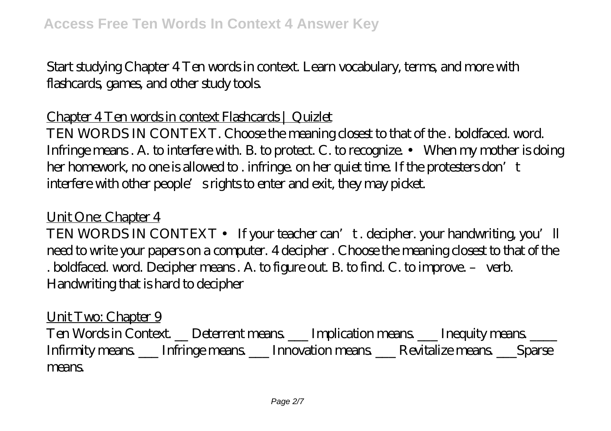Start studying Chapter 4 Ten words in context. Learn vocabulary, terms, and more with flashcards, games, and other study tools.

#### Chapter 4 Ten words in context Flashcards | Quizlet

TEN WORDS IN CONTEXT. Choose the meaning closest to that of the . boldfaced. word. Infringe means. A. to interfere with. B. to protect. C. to recognize. • When my mother is doing her homework, no one is allowed to . infringe. on her quiet time. If the protesters don't interfere with other people's rights to enter and exit, they may picket.

#### Unit One: Chapter 4

TEN WORDS IN CONTEXT • If your teacher can't. decipher. your handwriting, you'll need to write your papers on a computer. 4 decipher . Choose the meaning closest to that of the . boldfaced. word. Decipher means . A. to figure out. B. to find. C. to improve. – verb. Handwriting that is hard to decipher

Unit Two: Chapter 9 Ten Words in Context. \_ Deterrent means \_ Implication means \_ Inequity means \_ \_ Infirmity means. \_\_\_ Infringe means. \_\_\_ Innovation means. \_\_\_ Revitalize means. \_\_\_Sparse means.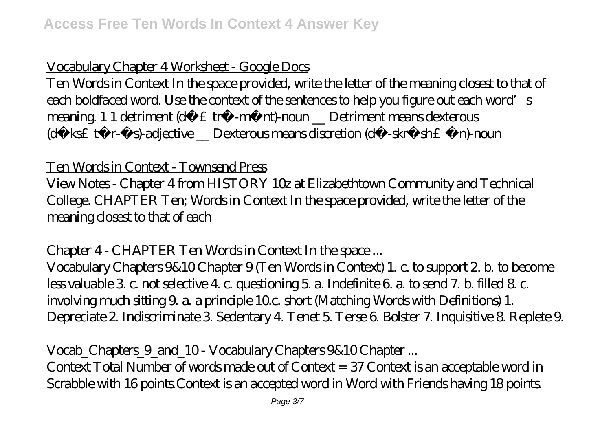## Vocabulary Chapter 4 Worksheet - Google Docs

Ten Words in Context In the space provided, write the letter of the meaning closest to that of each boldfaced word. Use the context of the sentences to help you figure out each word s meaning. 1 1 detriment (d $f \n\pounds$  tr®-m®nt)-noun \_ Detriment means dexterous (df ks£  $t@r$ -®s)-adjective \_ Dexterous means discretion (du -skrf sh£ ®n)-noun

#### Ten Words in Context - Townsend Press

View Notes - Chapter 4 from HISTORY 10z at Elizabethtown Community and Technical College. CHAPTER Ten; Words in Context In the space provided, write the letter of the meaning closest to that of each

#### Chapter 4 - CHAPTER Ten Words in Context In the space...

Vocabulary Chapters 9&10 Chapter 9 (Ten Words in Context) 1. c. to support 2. b. to become less valuable 3. c. not selective 4. c. questioning 5. a. Indefinite 6. a. to send 7. b. filled 8. c. involving much sitting 9. a. a principle 10.c. short (Matching Words with Definitions) 1. Depreciate 2. Indiscriminate 3. Sedentary 4. Tenet 5. Terse 6. Bolster 7. Inquisitive 8. Replete 9.

#### Vocab\_Chapters\_9\_and\_10 - Vocabulary Chapters 9&10 Chapter ...

Context Total Number of words made out of Context = 37 Context is an acceptable word in Scrabble with 16 points.Context is an accepted word in Word with Friends having 18 points.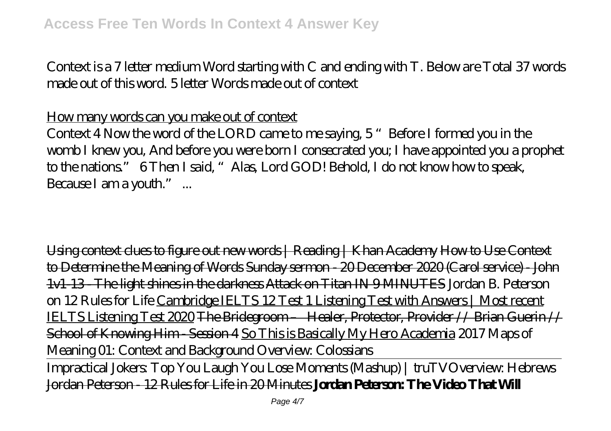Context is a 7 letter medium Word starting with C and ending with T. Below are Total 37 words made out of this word. 5 letter Words made out of context

How many words can you make out of context

Context 4 Now the word of the LORD came to me saying, 5 "Before I formed you in the womb I knew you, And before you were born I consecrated you; I have appointed you a prophet to the nations." 6 Then I said, "Alas, Lord GOD! Behold, I do not know how to speak, Because I am a youth"...

Using context clues to figure out new words | Reading | Khan Academy How to Use Context to Determine the Meaning of Words Sunday sermon - 20 December 2020 (Carol service) - John 1v1-13 - The light shines in the darkness Attack on Titan IN 9 MINUTES *Jordan B. Peterson on 12 Rules for Life* Cambridge IELTS 12 Test 1 Listening Test with Answers | Most recent IELTS Listening Test 2020 The Bridegroom – Healer, Protector, Provider // Brian Guerin // School of Knowing Him - Session 4 So This is Basically My Hero Academia *2017 Maps of Meaning 01: Context and Background Overview: Colossians*

Impractical Jokers: Top You Laugh You Lose Moments (Mashup) | truTV*Overview: Hebrews* Jordan Peterson - 12 Rules for Life in 20 Minutes **Jordan Peterson: The Video That Will**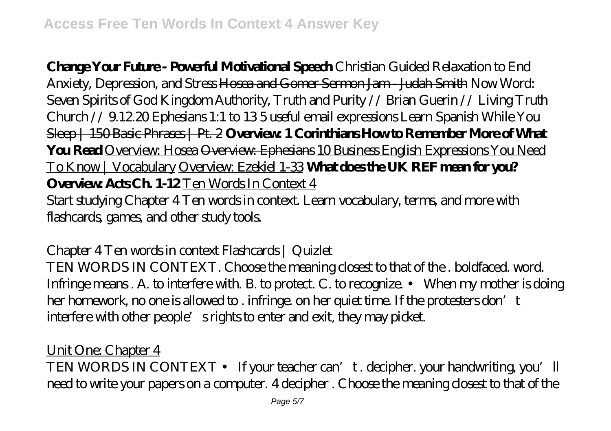**Change Your Future - Powerful Motivational Speech** *Christian Guided Relaxation to End Anxiety, Depression, and Stress* Hosea and Gomer Sermon Jam - Judah Smith Now Word: Seven Spirits of God *Kingdom Authority, Truth and Purity // Brian Guerin // Living Truth Church // 9.12.20* Ephesians 1:1 to 13 *5 useful email expressions* Learn Spanish While You Sleep | 150 Basic Phrases | Pt. 2 **Overview: 1 Corinthians How to Remember More of What You Read** Overview: Hosea Overview: Ephesians 10 Business English Expressions You Need To Know | Vocabulary Overview: Ezekiel 1-33 **What does the UK REF mean for you? Overview: Acts Ch. 1-12** Ten Words In Context 4 Start studying Chapter 4 Ten words in context. Learn vocabulary, terms, and more with flashcards, games, and other study tools.

Chapter 4 Ten words in context Flashcards | Quizlet

TEN WORDS IN CONTEXT. Choose the meaning closest to that of the . boldfaced. word. Infringe means . A. to interfere with. B. to protect. C. to recognize. • When my mother is doing her homework, no one is allowed to . infringe, on her quiet time. If the protesters don't interfere with other people's rights to enter and exit, they may picket.

Unit One: Chapter 4 TEN WORDS IN CONTEXT • If your teacher can't. decipher. your handwriting, you'll need to write your papers on a computer. 4 decipher . Choose the meaning closest to that of the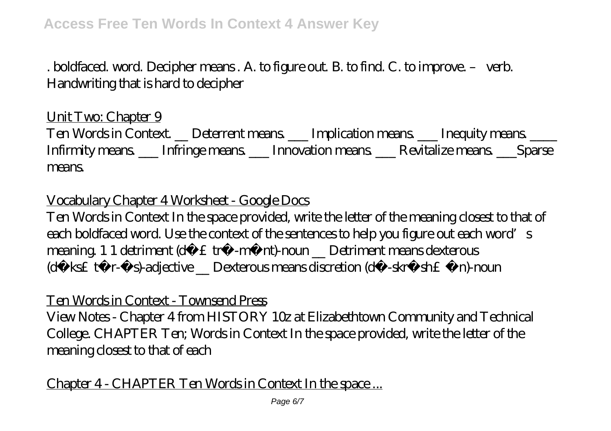. boldfaced. word. Decipher means . A. to figure out. B. to find. C. to improve. – verb. Handwriting that is hard to decipher

### Unit Two: Chapter 9

Ten Words in Context. \_\_ Deterrent means. \_\_\_ Implication means. \_\_\_ Inequity means. \_\_\_\_ Infirmity means. \_\_\_ Infringe means. \_\_\_ Innovation means. \_\_\_ Revitalize means. \_\_\_Sparse means.

## Vocabulary Chapter 4 Worksheet - Google Docs

Ten Words in Context In the space provided, write the letter of the meaning closest to that of each boldfaced word. Use the context of the sentences to help you figure out each word's meaning. 1 1 detriment (d $f \n\pounds$ tr®-m®nt)-noun \_\_ Detriment means dexterous (df ks£  $t@r$ -®s)-adjective \_ Dexterous means discretion (du -skrf sh£ ®n)-noun

#### Ten Words in Context - Townsend Press

View Notes - Chapter 4 from HISTORY 10z at Elizabethtown Community and Technical College. CHAPTER Ten; Words in Context In the space provided, write the letter of the meaning closest to that of each

## Chapter 4 - CHAPTER Ten Words in Context In the space ...